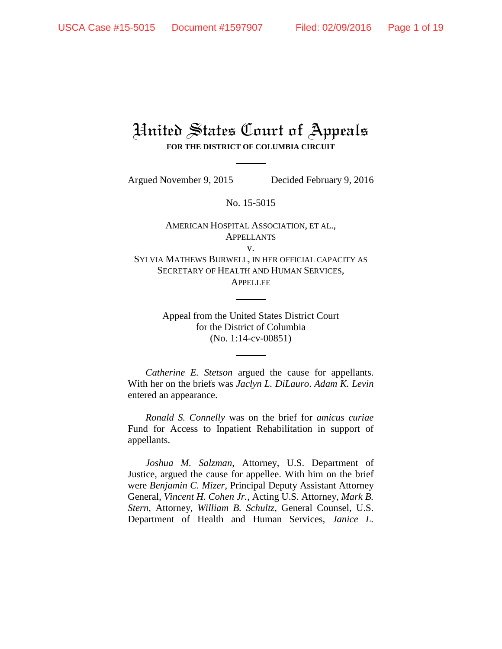# United States Court of Appeals **FOR THE DISTRICT OF COLUMBIA CIRCUIT**

Argued November 9, 2015 Decided February 9, 2016

No. 15-5015

AMERICAN HOSPITAL ASSOCIATION, ET AL., **APPELLANTS** v.

SYLVIA MATHEWS BURWELL, IN HER OFFICIAL CAPACITY AS SECRETARY OF HEALTH AND HUMAN SERVICES, **APPELLEE** 

> Appeal from the United States District Court for the District of Columbia (No. 1:14-cv-00851)

*Catherine E. Stetson* argued the cause for appellants. With her on the briefs was *Jaclyn L. DiLauro*. *Adam K. Levin* entered an appearance.

*Ronald S. Connelly* was on the brief for *amicus curiae*  Fund for Access to Inpatient Rehabilitation in support of appellants.

*Joshua M. Salzman*, Attorney, U.S. Department of Justice, argued the cause for appellee. With him on the brief were *Benjamin C. Mizer*, Principal Deputy Assistant Attorney General, *Vincent H. Cohen Jr.*, Acting U.S. Attorney, *Mark B. Stern*, Attorney, *William B. Schultz*, General Counsel, U.S. Department of Health and Human Services, *Janice L.*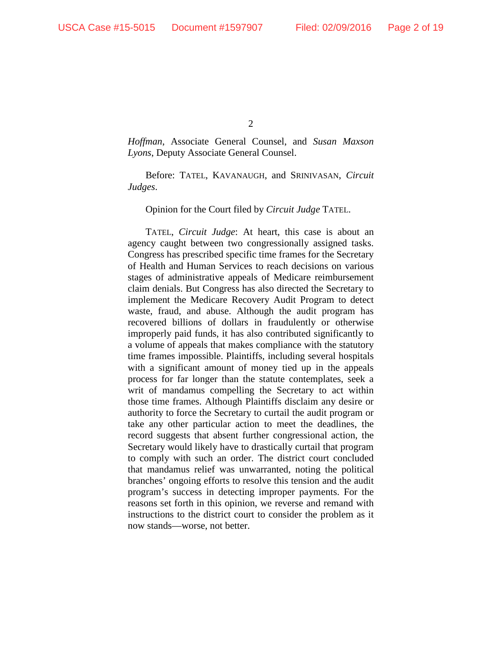$\mathcal{L}$ 

*Hoffman*, Associate General Counsel, and *Susan Maxson Lyons*, Deputy Associate General Counsel.

Before: TATEL, KAVANAUGH, and SRINIVASAN, *Circuit Judges*.

Opinion for the Court filed by *Circuit Judge* TATEL.

TATEL, *Circuit Judge*: At heart, this case is about an agency caught between two congressionally assigned tasks. Congress has prescribed specific time frames for the Secretary of Health and Human Services to reach decisions on various stages of administrative appeals of Medicare reimbursement claim denials. But Congress has also directed the Secretary to implement the Medicare Recovery Audit Program to detect waste, fraud, and abuse. Although the audit program has recovered billions of dollars in fraudulently or otherwise improperly paid funds, it has also contributed significantly to a volume of appeals that makes compliance with the statutory time frames impossible. Plaintiffs, including several hospitals with a significant amount of money tied up in the appeals process for far longer than the statute contemplates, seek a writ of mandamus compelling the Secretary to act within those time frames. Although Plaintiffs disclaim any desire or authority to force the Secretary to curtail the audit program or take any other particular action to meet the deadlines, the record suggests that absent further congressional action, the Secretary would likely have to drastically curtail that program to comply with such an order. The district court concluded that mandamus relief was unwarranted, noting the political branches' ongoing efforts to resolve this tension and the audit program's success in detecting improper payments. For the reasons set forth in this opinion, we reverse and remand with instructions to the district court to consider the problem as it now stands—worse, not better.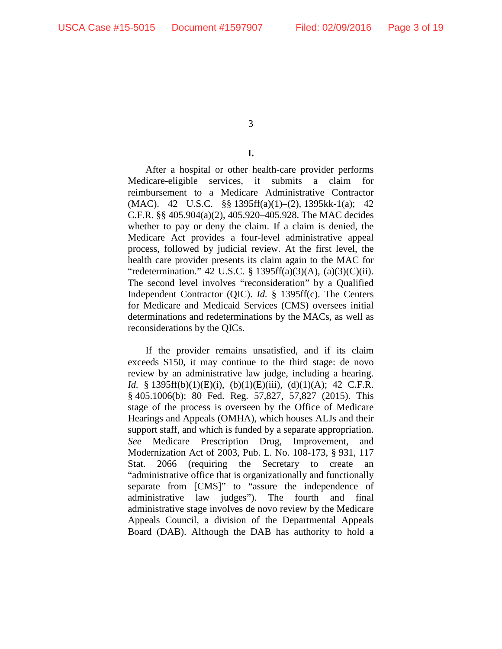### **I.**

After a hospital or other health-care provider performs Medicare-eligible services, it submits a claim for reimbursement to a Medicare Administrative Contractor (MAC). 42 U.S.C. §§ 1395ff(a)(1)–(2), 1395kk-1(a); 42 C.F.R. §§ 405.904(a)(2), 405.920–405.928. The MAC decides whether to pay or deny the claim. If a claim is denied, the Medicare Act provides a four-level administrative appeal process, followed by judicial review. At the first level, the health care provider presents its claim again to the MAC for "redetermination." 42 U.S.C. § 1395ff(a)(3)(A), (a)(3)(C)(ii). The second level involves "reconsideration" by a Qualified Independent Contractor (QIC). *Id.* § 1395ff(c). The Centers for Medicare and Medicaid Services (CMS) oversees initial determinations and redeterminations by the MACs, as well as reconsiderations by the QICs.

If the provider remains unsatisfied, and if its claim exceeds \$150, it may continue to the third stage: de novo review by an administrative law judge, including a hearing. *Id.* § 1395ff(b)(1)(E)(i), (b)(1)(E)(iii), (d)(1)(A); 42 C.F.R. § 405.1006(b); 80 Fed. Reg. 57,827, 57,827 (2015). This stage of the process is overseen by the Office of Medicare Hearings and Appeals (OMHA), which houses ALJs and their support staff, and which is funded by a separate appropriation. *See* Medicare Prescription Drug, Improvement, and Modernization Act of 2003, Pub. L. No. 108-173, § 931, 117 Stat. 2066 (requiring the Secretary to create an "administrative office that is organizationally and functionally separate from [CMS]" to "assure the independence of administrative law judges"). The fourth and final administrative stage involves de novo review by the Medicare Appeals Council, a division of the Departmental Appeals Board (DAB). Although the DAB has authority to hold a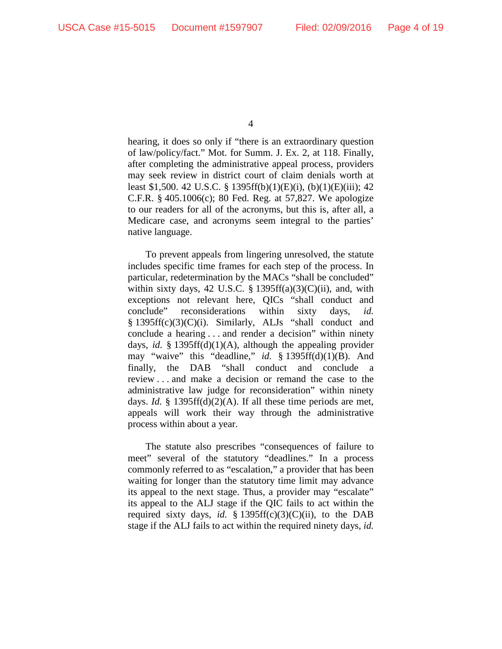hearing, it does so only if "there is an extraordinary question of law/policy/fact." Mot. for Summ. J. Ex. 2, at 118. Finally, after completing the administrative appeal process, providers may seek review in district court of claim denials worth at least \$1,500. 42 U.S.C. § 1395ff(b)(1)(E)(i), (b)(1)(E)(iii); 42 C.F.R. § 405.1006(c); 80 Fed. Reg. at 57,827. We apologize to our readers for all of the acronyms, but this is, after all, a Medicare case, and acronyms seem integral to the parties' native language.

To prevent appeals from lingering unresolved, the statute includes specific time frames for each step of the process. In particular, redetermination by the MACs "shall be concluded" within sixty days, 42 U.S.C.  $\S$  1395ff(a)(3)(C)(ii), and, with exceptions not relevant here, QICs "shall conduct and conclude" reconsiderations within sixty days, *id.*  $§$  1395ff(c)(3)(C)(i). Similarly, ALJs "shall conduct and conclude a hearing . . . and render a decision" within ninety days, *id.* § 1395ff(d)(1)(A), although the appealing provider may "waive" this "deadline," *id.* § 1395ff(d)(1)(B). And finally, the DAB "shall conduct and conclude a review . . . and make a decision or remand the case to the administrative law judge for reconsideration" within ninety days. *Id.* § 1395ff(d)(2)(A). If all these time periods are met, appeals will work their way through the administrative process within about a year.

The statute also prescribes "consequences of failure to meet" several of the statutory "deadlines." In a process commonly referred to as "escalation," a provider that has been waiting for longer than the statutory time limit may advance its appeal to the next stage. Thus, a provider may "escalate" its appeal to the ALJ stage if the QIC fails to act within the required sixty days, *id.* § 1395ff(c)(3)(C)(ii), to the DAB stage if the ALJ fails to act within the required ninety days, *id.*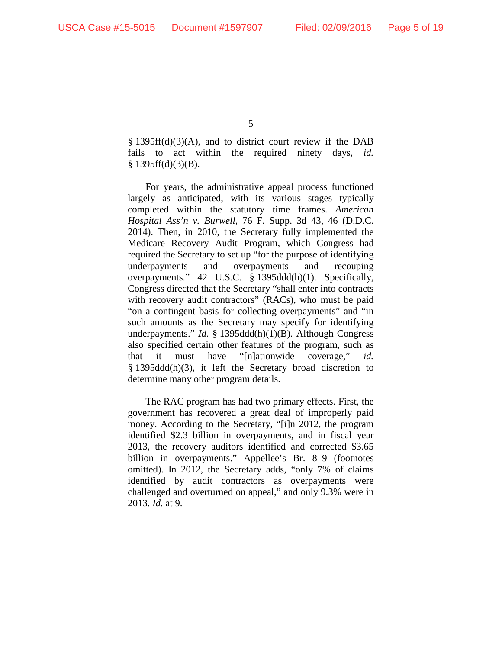$§$  1395ff(d)(3)(A), and to district court review if the DAB fails to act within the required ninety days, *id.* § 1395ff(d)(3)(B).

For years, the administrative appeal process functioned largely as anticipated, with its various stages typically completed within the statutory time frames. *American Hospital Ass'n v. Burwell*, 76 F. Supp. 3d 43, 46 (D.D.C. 2014). Then, in 2010, the Secretary fully implemented the Medicare Recovery Audit Program, which Congress had required the Secretary to set up "for the purpose of identifying underpayments and overpayments and recouping overpayments." 42 U.S.C. § 1395ddd(h)(1). Specifically, Congress directed that the Secretary "shall enter into contracts with recovery audit contractors" (RACs), who must be paid "on a contingent basis for collecting overpayments" and "in such amounts as the Secretary may specify for identifying underpayments." *Id.* § 1395ddd(h)(1)(B). Although Congress also specified certain other features of the program, such as that it must have "[n]ationwide coverage," *id.* § 1395ddd(h)(3), it left the Secretary broad discretion to determine many other program details.

The RAC program has had two primary effects. First, the government has recovered a great deal of improperly paid money. According to the Secretary, "[i]n 2012, the program identified \$2.3 billion in overpayments, and in fiscal year 2013, the recovery auditors identified and corrected \$3.65 billion in overpayments." Appellee's Br. 8–9 (footnotes omitted). In 2012, the Secretary adds, "only 7% of claims identified by audit contractors as overpayments were challenged and overturned on appeal," and only 9.3% were in 2013. *Id.* at 9.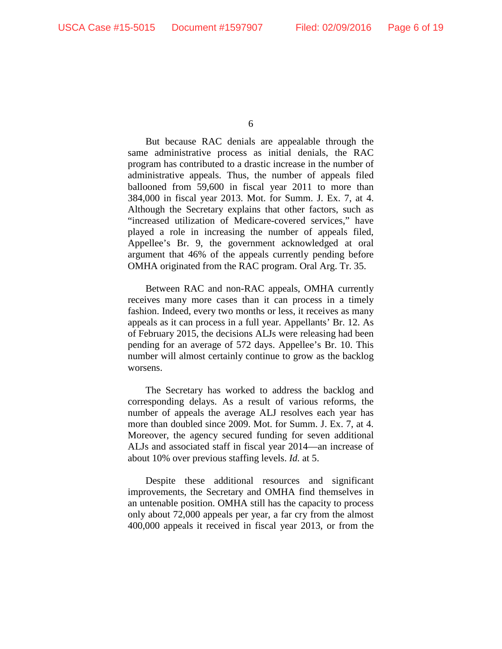But because RAC denials are appealable through the same administrative process as initial denials, the RAC program has contributed to a drastic increase in the number of administrative appeals. Thus, the number of appeals filed ballooned from 59,600 in fiscal year 2011 to more than 384,000 in fiscal year 2013. Mot. for Summ. J. Ex. 7, at 4. Although the Secretary explains that other factors, such as "increased utilization of Medicare-covered services," have played a role in increasing the number of appeals filed, Appellee's Br. 9, the government acknowledged at oral argument that 46% of the appeals currently pending before OMHA originated from the RAC program. Oral Arg. Tr. 35.

Between RAC and non-RAC appeals, OMHA currently receives many more cases than it can process in a timely fashion. Indeed, every two months or less, it receives as many appeals as it can process in a full year. Appellants' Br. 12. As of February 2015, the decisions ALJs were releasing had been pending for an average of 572 days. Appellee's Br. 10. This number will almost certainly continue to grow as the backlog worsens.

The Secretary has worked to address the backlog and corresponding delays. As a result of various reforms, the number of appeals the average ALJ resolves each year has more than doubled since 2009. Mot. for Summ. J. Ex. 7, at 4. Moreover, the agency secured funding for seven additional ALJs and associated staff in fiscal year 2014—an increase of about 10% over previous staffing levels. *Id.* at 5.

Despite these additional resources and significant improvements, the Secretary and OMHA find themselves in an untenable position. OMHA still has the capacity to process only about 72,000 appeals per year, a far cry from the almost 400,000 appeals it received in fiscal year 2013, or from the

<sup>6</sup>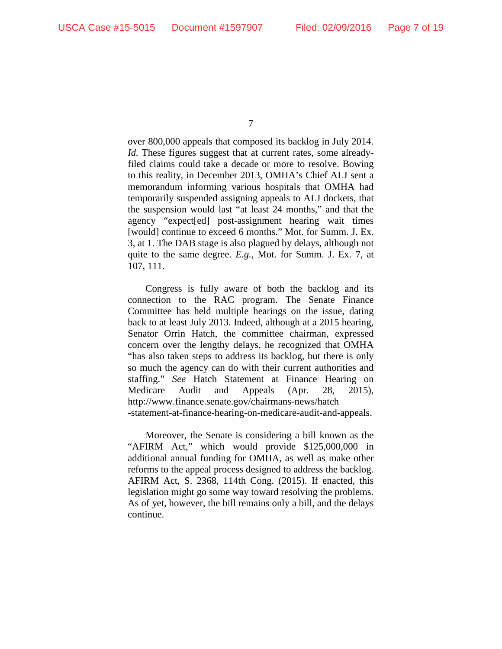over 800,000 appeals that composed its backlog in July 2014. *Id.* These figures suggest that at current rates, some alreadyfiled claims could take a decade or more to resolve. Bowing to this reality, in December 2013, OMHA's Chief ALJ sent a memorandum informing various hospitals that OMHA had temporarily suspended assigning appeals to ALJ dockets, that the suspension would last "at least 24 months," and that the agency "expect[ed] post-assignment hearing wait times [would] continue to exceed 6 months." Mot. for Summ. J. Ex. 3, at 1. The DAB stage is also plagued by delays, although not quite to the same degree. *E.g.*, Mot. for Summ. J. Ex. 7, at 107, 111.

Congress is fully aware of both the backlog and its connection to the RAC program. The Senate Finance Committee has held multiple hearings on the issue, dating back to at least July 2013. Indeed, although at a 2015 hearing, Senator Orrin Hatch, the committee chairman, expressed concern over the lengthy delays, he recognized that OMHA "has also taken steps to address its backlog, but there is only so much the agency can do with their current authorities and staffing." *See* Hatch Statement at Finance Hearing on Medicare Audit and Appeals (Apr. 28, 2015), http://www.finance.senate.gov/chairmans-news/hatch -statement-at-finance-hearing-on-medicare-audit-and-appeals.

Moreover, the Senate is considering a bill known as the "AFIRM Act," which would provide \$125,000,000 in additional annual funding for OMHA, as well as make other reforms to the appeal process designed to address the backlog. AFIRM Act, S. 2368, 114th Cong. (2015). If enacted, this legislation might go some way toward resolving the problems. As of yet, however, the bill remains only a bill, and the delays continue.

<sup>7</sup>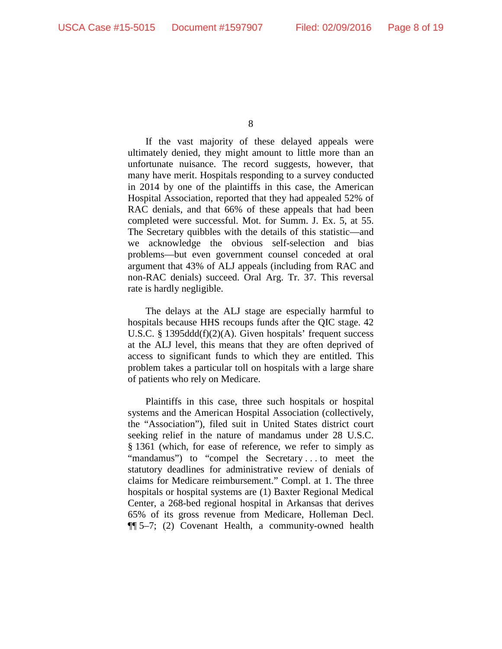If the vast majority of these delayed appeals were ultimately denied, they might amount to little more than an unfortunate nuisance. The record suggests, however, that many have merit. Hospitals responding to a survey conducted in 2014 by one of the plaintiffs in this case, the American Hospital Association, reported that they had appealed 52% of RAC denials, and that 66% of these appeals that had been completed were successful. Mot. for Summ. J. Ex. 5, at 55. The Secretary quibbles with the details of this statistic—and we acknowledge the obvious self-selection and bias problems—but even government counsel conceded at oral argument that 43% of ALJ appeals (including from RAC and non-RAC denials) succeed. Oral Arg. Tr. 37. This reversal rate is hardly negligible.

The delays at the ALJ stage are especially harmful to hospitals because HHS recoups funds after the QIC stage. 42 U.S.C. § 1395ddd(f)(2)(A). Given hospitals' frequent success at the ALJ level, this means that they are often deprived of access to significant funds to which they are entitled. This problem takes a particular toll on hospitals with a large share of patients who rely on Medicare.

Plaintiffs in this case, three such hospitals or hospital systems and the American Hospital Association (collectively, the "Association"), filed suit in United States district court seeking relief in the nature of mandamus under 28 U.S.C. § 1361 (which, for ease of reference, we refer to simply as "mandamus") to "compel the Secretary . . . to meet the statutory deadlines for administrative review of denials of claims for Medicare reimbursement." Compl. at 1. The three hospitals or hospital systems are (1) Baxter Regional Medical Center, a 268-bed regional hospital in Arkansas that derives 65% of its gross revenue from Medicare, Holleman Decl. ¶¶ 5–7; (2) Covenant Health, a community-owned health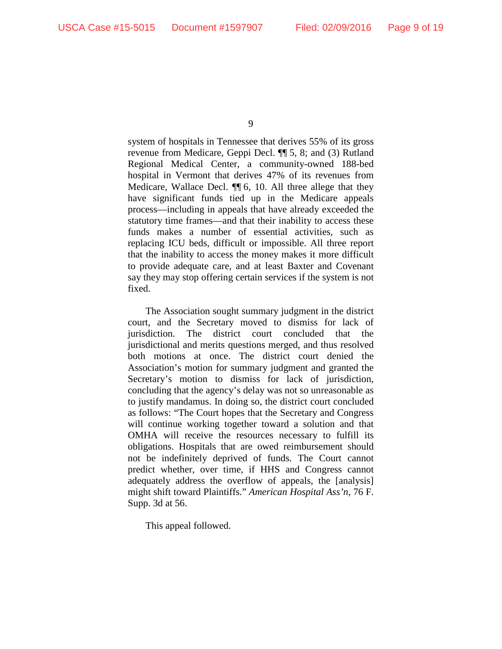system of hospitals in Tennessee that derives 55% of its gross revenue from Medicare, Geppi Decl. ¶¶ 5, 8; and (3) Rutland Regional Medical Center, a community-owned 188-bed hospital in Vermont that derives 47% of its revenues from Medicare, Wallace Decl. ¶¶ 6, 10. All three allege that they have significant funds tied up in the Medicare appeals process—including in appeals that have already exceeded the statutory time frames—and that their inability to access these funds makes a number of essential activities, such as replacing ICU beds, difficult or impossible. All three report that the inability to access the money makes it more difficult to provide adequate care, and at least Baxter and Covenant say they may stop offering certain services if the system is not fixed.

The Association sought summary judgment in the district court, and the Secretary moved to dismiss for lack of jurisdiction. The district court concluded that the jurisdictional and merits questions merged, and thus resolved both motions at once. The district court denied the Association's motion for summary judgment and granted the Secretary's motion to dismiss for lack of jurisdiction, concluding that the agency's delay was not so unreasonable as to justify mandamus. In doing so, the district court concluded as follows: "The Court hopes that the Secretary and Congress will continue working together toward a solution and that OMHA will receive the resources necessary to fulfill its obligations. Hospitals that are owed reimbursement should not be indefinitely deprived of funds. The Court cannot predict whether, over time, if HHS and Congress cannot adequately address the overflow of appeals, the [analysis] might shift toward Plaintiffs." *American Hospital Ass'n*, 76 F. Supp. 3d at 56.

This appeal followed.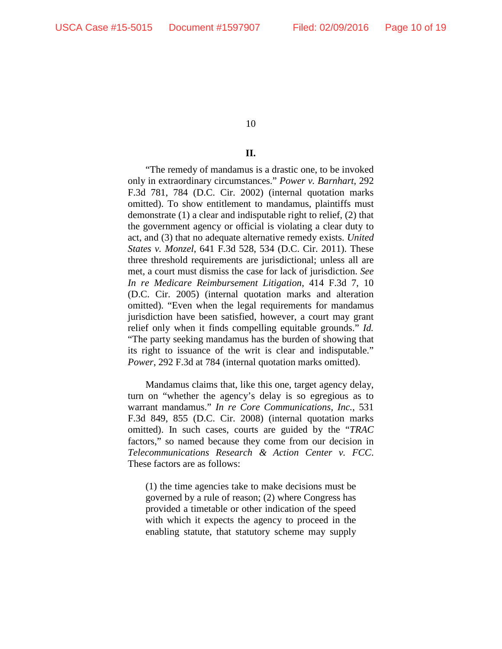## **II.**

"The remedy of mandamus is a drastic one, to be invoked only in extraordinary circumstances." *Power v. Barnhart*, 292 F.3d 781, 784 (D.C. Cir. 2002) (internal quotation marks omitted). To show entitlement to mandamus, plaintiffs must demonstrate (1) a clear and indisputable right to relief, (2) that the government agency or official is violating a clear duty to act, and (3) that no adequate alternative remedy exists. *United States v. Monzel*, 641 F.3d 528, 534 (D.C. Cir. 2011). These three threshold requirements are jurisdictional; unless all are met, a court must dismiss the case for lack of jurisdiction. *See In re Medicare Reimbursement Litigation*, 414 F.3d 7, 10 (D.C. Cir. 2005) (internal quotation marks and alteration omitted). "Even when the legal requirements for mandamus jurisdiction have been satisfied, however, a court may grant relief only when it finds compelling equitable grounds." *Id.* "The party seeking mandamus has the burden of showing that its right to issuance of the writ is clear and indisputable." *Power*, 292 F.3d at 784 (internal quotation marks omitted).

Mandamus claims that, like this one, target agency delay, turn on "whether the agency's delay is so egregious as to warrant mandamus." *In re Core Communications, Inc.*, 531 F.3d 849, 855 (D.C. Cir. 2008) (internal quotation marks omitted). In such cases, courts are guided by the "*TRAC* factors," so named because they come from our decision in *Telecommunications Research & Action Center v. FCC*. These factors are as follows:

(1) the time agencies take to make decisions must be governed by a rule of reason; (2) where Congress has provided a timetable or other indication of the speed with which it expects the agency to proceed in the enabling statute, that statutory scheme may supply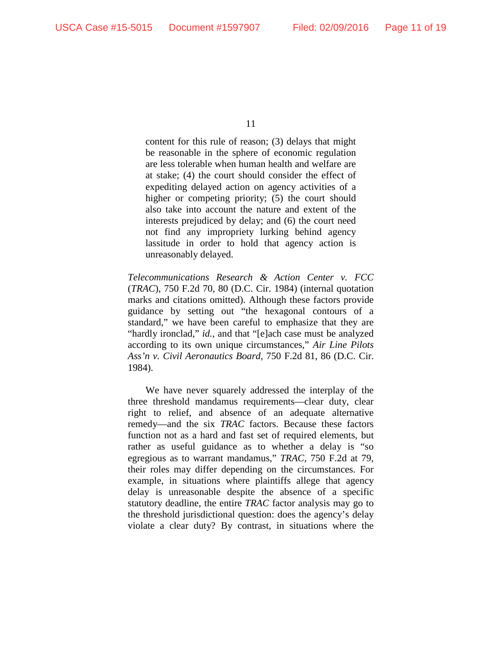content for this rule of reason; (3) delays that might be reasonable in the sphere of economic regulation are less tolerable when human health and welfare are at stake; (4) the court should consider the effect of expediting delayed action on agency activities of a higher or competing priority; (5) the court should also take into account the nature and extent of the interests prejudiced by delay; and (6) the court need not find any impropriety lurking behind agency lassitude in order to hold that agency action is unreasonably delayed.

*Telecommunications Research & Action Center v. FCC*  (*TRAC*), 750 F.2d 70, 80 (D.C. Cir. 1984) (internal quotation marks and citations omitted). Although these factors provide guidance by setting out "the hexagonal contours of a standard," we have been careful to emphasize that they are "hardly ironclad," *id.*, and that "[e]ach case must be analyzed according to its own unique circumstances," *Air Line Pilots Ass'n v. Civil Aeronautics Board*, 750 F.2d 81, 86 (D.C. Cir. 1984).

We have never squarely addressed the interplay of the three threshold mandamus requirements—clear duty, clear right to relief, and absence of an adequate alternative remedy—and the six *TRAC* factors. Because these factors function not as a hard and fast set of required elements, but rather as useful guidance as to whether a delay is "so egregious as to warrant mandamus," *TRAC*, 750 F.2d at 79, their roles may differ depending on the circumstances. For example, in situations where plaintiffs allege that agency delay is unreasonable despite the absence of a specific statutory deadline, the entire *TRAC* factor analysis may go to the threshold jurisdictional question: does the agency's delay violate a clear duty? By contrast, in situations where the

<sup>11</sup>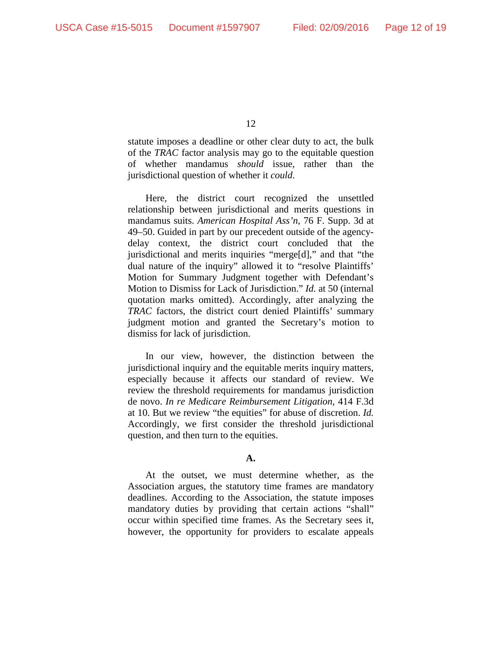statute imposes a deadline or other clear duty to act, the bulk of the *TRAC* factor analysis may go to the equitable question of whether mandamus *should* issue, rather than the jurisdictional question of whether it *could*.

Here, the district court recognized the unsettled relationship between jurisdictional and merits questions in mandamus suits. *American Hospital Ass'n*, 76 F. Supp. 3d at 49–50. Guided in part by our precedent outside of the agencydelay context, the district court concluded that the jurisdictional and merits inquiries "merge[d]," and that "the dual nature of the inquiry" allowed it to "resolve Plaintiffs' Motion for Summary Judgment together with Defendant's Motion to Dismiss for Lack of Jurisdiction." *Id.* at 50 (internal quotation marks omitted). Accordingly, after analyzing the *TRAC* factors, the district court denied Plaintiffs' summary judgment motion and granted the Secretary's motion to dismiss for lack of jurisdiction.

In our view, however, the distinction between the jurisdictional inquiry and the equitable merits inquiry matters, especially because it affects our standard of review. We review the threshold requirements for mandamus jurisdiction de novo. *In re Medicare Reimbursement Litigation*, 414 F.3d at 10. But we review "the equities" for abuse of discretion. *Id.* Accordingly, we first consider the threshold jurisdictional question, and then turn to the equities.

#### **A.**

At the outset, we must determine whether, as the Association argues, the statutory time frames are mandatory deadlines. According to the Association, the statute imposes mandatory duties by providing that certain actions "shall" occur within specified time frames. As the Secretary sees it, however, the opportunity for providers to escalate appeals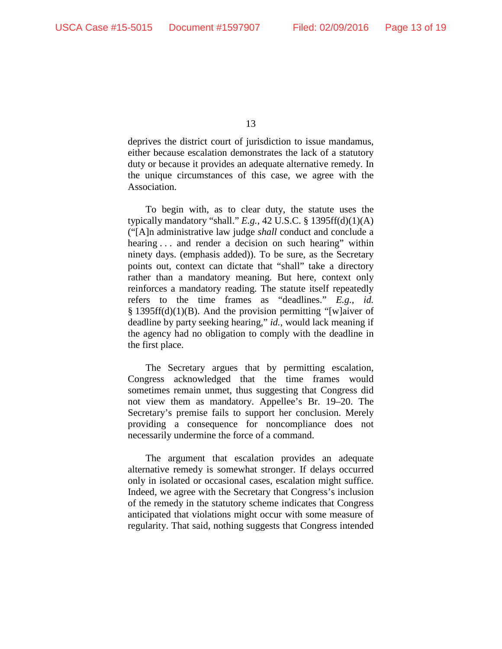deprives the district court of jurisdiction to issue mandamus, either because escalation demonstrates the lack of a statutory duty or because it provides an adequate alternative remedy. In the unique circumstances of this case, we agree with the Association.

To begin with, as to clear duty, the statute uses the typically mandatory "shall."  $E.g., 42$  U.S.C.  $\S$  1395ff(d)(1)(A) ("[A]n administrative law judge *shall* conduct and conclude a hearing . . . and render a decision on such hearing" within ninety days. (emphasis added)). To be sure, as the Secretary points out, context can dictate that "shall" take a directory rather than a mandatory meaning. But here, context only reinforces a mandatory reading. The statute itself repeatedly refers to the time frames as "deadlines." *E.g.*, *id.* § 1395ff(d)(1)(B). And the provision permitting "[w]aiver of deadline by party seeking hearing," *id.*, would lack meaning if the agency had no obligation to comply with the deadline in the first place.

The Secretary argues that by permitting escalation, Congress acknowledged that the time frames would sometimes remain unmet, thus suggesting that Congress did not view them as mandatory. Appellee's Br. 19–20. The Secretary's premise fails to support her conclusion. Merely providing a consequence for noncompliance does not necessarily undermine the force of a command.

The argument that escalation provides an adequate alternative remedy is somewhat stronger. If delays occurred only in isolated or occasional cases, escalation might suffice. Indeed, we agree with the Secretary that Congress's inclusion of the remedy in the statutory scheme indicates that Congress anticipated that violations might occur with some measure of regularity. That said, nothing suggests that Congress intended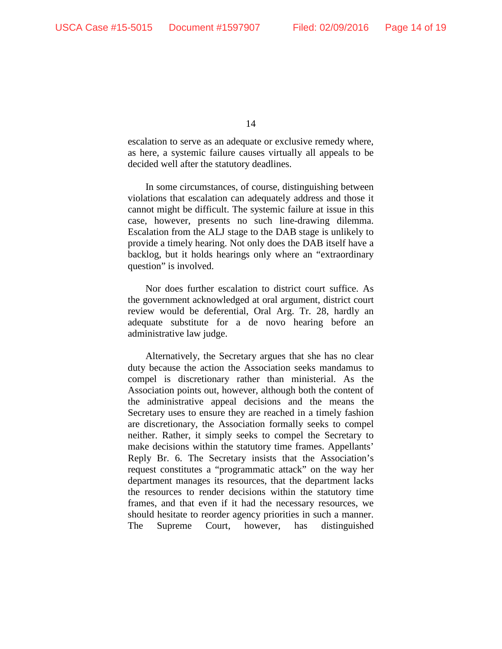escalation to serve as an adequate or exclusive remedy where, as here, a systemic failure causes virtually all appeals to be decided well after the statutory deadlines.

In some circumstances, of course, distinguishing between violations that escalation can adequately address and those it cannot might be difficult. The systemic failure at issue in this case, however, presents no such line-drawing dilemma. Escalation from the ALJ stage to the DAB stage is unlikely to provide a timely hearing. Not only does the DAB itself have a backlog, but it holds hearings only where an "extraordinary question" is involved.

Nor does further escalation to district court suffice. As the government acknowledged at oral argument, district court review would be deferential, Oral Arg. Tr. 28, hardly an adequate substitute for a de novo hearing before an administrative law judge.

Alternatively, the Secretary argues that she has no clear duty because the action the Association seeks mandamus to compel is discretionary rather than ministerial. As the Association points out, however, although both the content of the administrative appeal decisions and the means the Secretary uses to ensure they are reached in a timely fashion are discretionary, the Association formally seeks to compel neither. Rather, it simply seeks to compel the Secretary to make decisions within the statutory time frames. Appellants' Reply Br. 6. The Secretary insists that the Association's request constitutes a "programmatic attack" on the way her department manages its resources, that the department lacks the resources to render decisions within the statutory time frames, and that even if it had the necessary resources, we should hesitate to reorder agency priorities in such a manner. The Supreme Court, however, has distinguished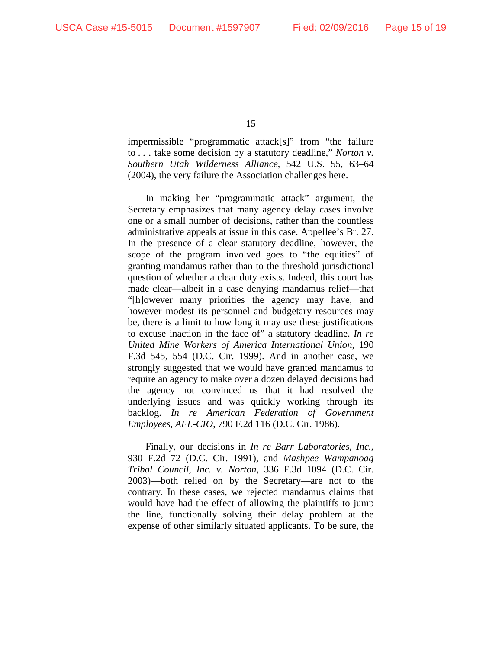impermissible "programmatic attack[s]" from "the failure to . . . take some decision by a statutory deadline," *Norton v. Southern Utah Wilderness Alliance*, 542 U.S. 55, 63–64 (2004), the very failure the Association challenges here.

In making her "programmatic attack" argument, the Secretary emphasizes that many agency delay cases involve one or a small number of decisions, rather than the countless administrative appeals at issue in this case. Appellee's Br. 27. In the presence of a clear statutory deadline, however, the scope of the program involved goes to "the equities" of granting mandamus rather than to the threshold jurisdictional question of whether a clear duty exists. Indeed, this court has made clear—albeit in a case denying mandamus relief—that "[h]owever many priorities the agency may have, and however modest its personnel and budgetary resources may be, there is a limit to how long it may use these justifications to excuse inaction in the face of" a statutory deadline. *In re United Mine Workers of America International Union*, 190 F.3d 545, 554 (D.C. Cir. 1999). And in another case, we strongly suggested that we would have granted mandamus to require an agency to make over a dozen delayed decisions had the agency not convinced us that it had resolved the underlying issues and was quickly working through its backlog. *In re American Federation of Government Employees, AFL-CIO*, 790 F.2d 116 (D.C. Cir. 1986).

Finally, our decisions in *In re Barr Laboratories, Inc.*, 930 F.2d 72 (D.C. Cir. 1991), and *Mashpee Wampanoag Tribal Council, Inc. v. Norton*, 336 F.3d 1094 (D.C. Cir. 2003)—both relied on by the Secretary—are not to the contrary. In these cases, we rejected mandamus claims that would have had the effect of allowing the plaintiffs to jump the line, functionally solving their delay problem at the expense of other similarly situated applicants. To be sure, the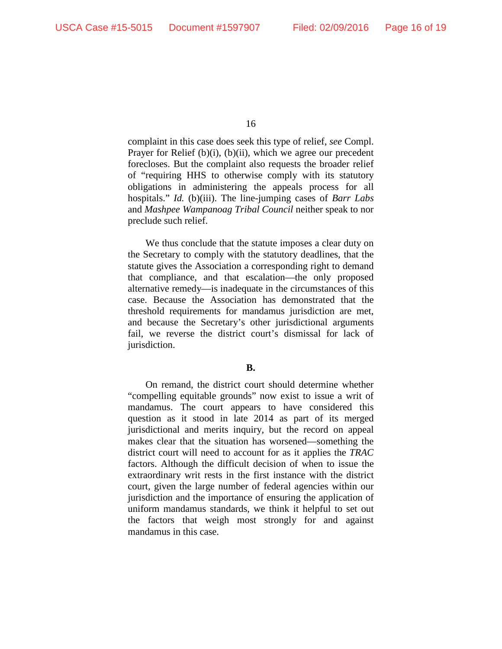complaint in this case does seek this type of relief, *see* Compl. Prayer for Relief (b)(i), (b)(ii), which we agree our precedent forecloses. But the complaint also requests the broader relief of "requiring HHS to otherwise comply with its statutory obligations in administering the appeals process for all hospitals." *Id.* (b)(iii). The line-jumping cases of *Barr Labs* and *Mashpee Wampanoag Tribal Council* neither speak to nor preclude such relief.

We thus conclude that the statute imposes a clear duty on the Secretary to comply with the statutory deadlines, that the statute gives the Association a corresponding right to demand that compliance, and that escalation—the only proposed alternative remedy—is inadequate in the circumstances of this case. Because the Association has demonstrated that the threshold requirements for mandamus jurisdiction are met, and because the Secretary's other jurisdictional arguments fail, we reverse the district court's dismissal for lack of jurisdiction.

#### **B.**

On remand, the district court should determine whether "compelling equitable grounds" now exist to issue a writ of mandamus. The court appears to have considered this question as it stood in late 2014 as part of its merged jurisdictional and merits inquiry, but the record on appeal makes clear that the situation has worsened—something the district court will need to account for as it applies the *TRAC* factors. Although the difficult decision of when to issue the extraordinary writ rests in the first instance with the district court, given the large number of federal agencies within our jurisdiction and the importance of ensuring the application of uniform mandamus standards, we think it helpful to set out the factors that weigh most strongly for and against mandamus in this case.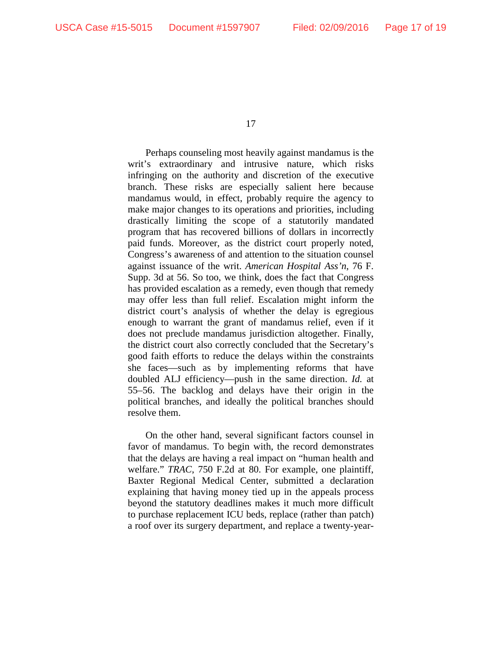Perhaps counseling most heavily against mandamus is the writ's extraordinary and intrusive nature, which risks infringing on the authority and discretion of the executive branch. These risks are especially salient here because mandamus would, in effect, probably require the agency to make major changes to its operations and priorities, including drastically limiting the scope of a statutorily mandated program that has recovered billions of dollars in incorrectly paid funds. Moreover, as the district court properly noted, Congress's awareness of and attention to the situation counsel against issuance of the writ. *American Hospital Ass'n*, 76 F. Supp. 3d at 56. So too, we think, does the fact that Congress has provided escalation as a remedy, even though that remedy may offer less than full relief. Escalation might inform the district court's analysis of whether the delay is egregious enough to warrant the grant of mandamus relief, even if it does not preclude mandamus jurisdiction altogether. Finally, the district court also correctly concluded that the Secretary's good faith efforts to reduce the delays within the constraints she faces—such as by implementing reforms that have doubled ALJ efficiency—push in the same direction. *Id.* at 55–56. The backlog and delays have their origin in the political branches, and ideally the political branches should resolve them.

On the other hand, several significant factors counsel in favor of mandamus. To begin with, the record demonstrates that the delays are having a real impact on "human health and welfare." *TRAC*, 750 F.2d at 80. For example, one plaintiff, Baxter Regional Medical Center, submitted a declaration explaining that having money tied up in the appeals process beyond the statutory deadlines makes it much more difficult to purchase replacement ICU beds, replace (rather than patch) a roof over its surgery department, and replace a twenty-year-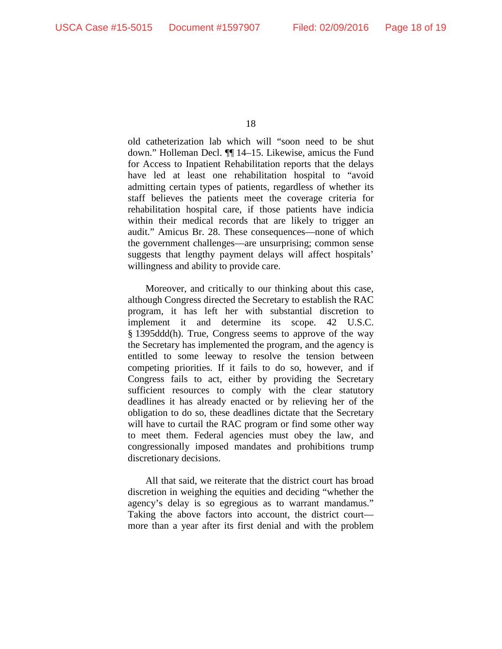old catheterization lab which will "soon need to be shut down." Holleman Decl. ¶¶ 14–15. Likewise, amicus the Fund for Access to Inpatient Rehabilitation reports that the delays have led at least one rehabilitation hospital to "avoid admitting certain types of patients, regardless of whether its staff believes the patients meet the coverage criteria for rehabilitation hospital care, if those patients have indicia within their medical records that are likely to trigger an audit." Amicus Br. 28. These consequences—none of which the government challenges—are unsurprising; common sense suggests that lengthy payment delays will affect hospitals' willingness and ability to provide care.

Moreover, and critically to our thinking about this case, although Congress directed the Secretary to establish the RAC program, it has left her with substantial discretion to implement it and determine its scope. 42 U.S.C. § 1395ddd(h). True, Congress seems to approve of the way the Secretary has implemented the program, and the agency is entitled to some leeway to resolve the tension between competing priorities. If it fails to do so, however, and if Congress fails to act, either by providing the Secretary sufficient resources to comply with the clear statutory deadlines it has already enacted or by relieving her of the obligation to do so, these deadlines dictate that the Secretary will have to curtail the RAC program or find some other way to meet them. Federal agencies must obey the law, and congressionally imposed mandates and prohibitions trump discretionary decisions.

All that said, we reiterate that the district court has broad discretion in weighing the equities and deciding "whether the agency's delay is so egregious as to warrant mandamus." Taking the above factors into account, the district court more than a year after its first denial and with the problem